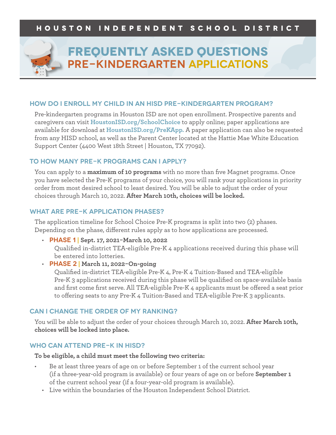

# **Frequently Asked Questions Pre-Kindergarten applications**

#### **How do I enroll my child in an HISD pre-kindergarten program?**

Pre-kindergarten programs in Houston ISD are not open enrollment. Prospective parents and caregivers can visit **HoustonISD.org/SchoolChoice** to apply online; paper applications are available for download at **HoustonISD.org/PreKApp.** A paper application can also be requested from any HISD school, as well as the Parent Center located at the Hattie Mae White Education Support Center (4400 West 18th Street | Houston, TX 77092).

#### **TO HOW MANY PRE-K PROGRAMS CAN I APPLY?**

You can apply to a **maximum of 10 programs** with no more than five Magnet programs. Once you have selected the Pre-K programs of your choice, you will rank your applications in priority order from most desired school to least desired. You will be able to adjust the order of your choices through March 10, 2022. **After March 10th, choices will be locked.**

#### **WHAT ARE PRE-K APPLICATION PHASES?**

The application timeline for School Choice Pre-K programs is split into two (2) phases. Depending on the phase, different rules apply as to how applications are processed.

• **Phase 1 | Sept. 17, 2021-March 10, 2022** 

Qualified in-district TEA-eligible Pre-K 4 applications received during this phase will be entered into lotteries.

• **Phase 2 | March 11, 2022-On-going**

Qualified in-district TEA-eligible Pre-K 4, Pre-K 4 Tuition-Based and TEA-eligible Pre-K 3 applications received during this phase will be qualified on space-available basis and first come first serve. All TEA-eligible Pre-K 4 applicants must be offered a seat prior to offering seats to any Pre-K 4 Tuition-Based and TEA-eligible Pre-K 3 applicants.

#### **CAN I CHANGE THE ORDER OF MY RANKING?**

You will be able to adjust the order of your choices through March 10, 2022. **After March 10th, choices will be locked into place.**

#### **WHO CAN ATTEND PRE-K IN HISD?**

**To be eligible, a child must meet the following two criteria:**

- Be at least three years of age on or before September 1 of the current school year (if a three-year-old program is available) or four years of age on or before **September 1**  of the current school year (if a four-year-old program is available).
	- Live within the boundaries of the Houston Independent School District.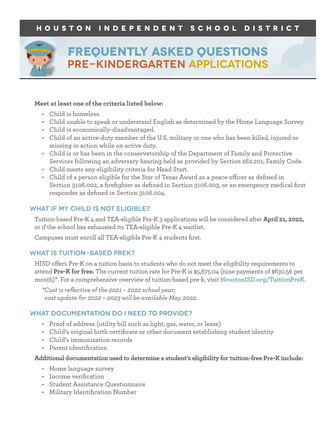

# **Frequently Asked Questions Pre-Kindergarten applications**

#### **Meet at least one of the criteria listed below:**

- Child is homeless.
- Child unable to speak or understand English as determined by the Home Language Survey.
- Child is economically-disadvantaged.
- Child of an active-duty member of the U.S. military or one who has been killed, injured or missing in action while on active duty.
- Child is or has been in the conservatorship of the Department of Family and Protective Services following an adversary hearing held as provided by Section 262.201, Family Code.
- Child meets any eligibility criteria for Head Start.
- Child of a person eligible for the Star of Texas Award as a peace officer as defined in Section 3106.002, a firefighter as defined in Section 3106.003, or an emergency medical first responder as defined in Section 3106.004.

### **WHAT IF MY CHILD IS NOT ELIGIBLE?**

Tuition-based Pre-K 4 and TEA-eligible Pre-K 3 applications will be considered after **April 21, 2022,**  or if the school has exhausted its TEA-eligible Pre-K 4 waitlist.

Campuses must enroll all TEA-eligible Pre-K 4 students first.

### **WHAT IS TUITION-BASED PREK?**

HISD offers Pre-K on a tuition basis to students who do not meet the eligibility requirements to attend **Pre-K for free.** The current tuition rate for Pre-K is \$5,675.04 (nine payments of \$630.56 per month)\*. For a comprehensive overview of tuition-based pre-k, visit **HoustonISD.org/TuitionPreK.**

*\*Cost is reflective of the 2021 – 2022 school year; cost update for 2022 – 2023 will be available May 2022.*

## **WHAT DOCUMENTATION DO I NEED TO PROVIDE?**

- Proof of address (utility bill such as light, gas, water, or lease)
- Child's original birth certificate or other document establishing student identity
- Child's immunization records
- Parent identification

#### **Additional documentation used to determine a student's eligibility for tuition-free Pre-K include:**

- Home language survey
- Income verification
- Student Assistance Questionnaire
- Military Identification Number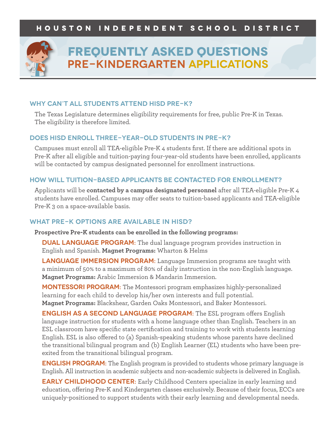

# **Frequently Asked Questions Pre-Kindergarten applications**

#### **WHY CAN'T ALL STUDENTS ATTEND HISD PRE-K?**

The Texas Legislature determines eligibility requirements for free, public Pre-K in Texas. The eligibility is therefore limited.

#### **DOES HISD ENROLL THREE-YEAR-OLD STUDENTS IN PRE-K?**

Campuses must enroll all TEA-eligible Pre-K 4 students first. If there are additional spots in Pre-K after all eligible and tuition-paying four-year-old students have been enrolled, applicants will be contacted by campus designated personnel for enrollment instructions.

#### **HOW WILL TUITION-BASED APPLICANTS BE CONTACTED FOR ENROLLMENT?**

Applicants will be **contacted by a campus designated personnel** after all TEA-eligible Pre-K 4 students have enrolled. Campuses may offer seats to tuition-based applicants and TEA-eligible Pre-K 3 on a space-available basis.

#### **WHAT PRE-K OPTIONS ARE AVAILABLE IN HISD?**

**Prospective Pre-K students can be enrolled in the following programs:**

**DUAL LANGUAGE PROGRAM:** The dual language program provides instruction in English and Spanish. **Magnet Programs:** Wharton & Helms

**Language Immersion Program:** Language Immersion programs are taught with a minimum of 50% to a maximum of 80% of daily instruction in the non-English language. **Magnet Programs:** Arabic Immersion & Mandarin Immersion.

**Montessori Program:** The Montessori program emphasizes highly-personalized learning for each child to develop his/her own interests and full potential. **Magnet Programs:** Blackshear, Garden Oaks Montessori, and Baker Montessori.

**English as a Second Language Program:** The ESL program offers English language instruction for students with a home language other than English. Teachers in an ESL classroom have specific state certification and training to work with students learning English. ESL is also offered to (a) Spanish-speaking students whose parents have declined the transitional bilingual program and (b) English Learner (EL) students who have been preexited from the transitional bilingual program.

**ENGLISH PROGRAM:** The English program is provided to students whose primary language is English. All instruction in academic subjects and non-academic subjects is delivered in English.

**EARLY CHILDHOOD CENTER:** Early Childhood Centers specialize in early learning and education, offering Pre-K and Kindergarten classes exclusively. Because of their focus, ECCs are uniquely-positioned to support students with their early learning and developmental needs.